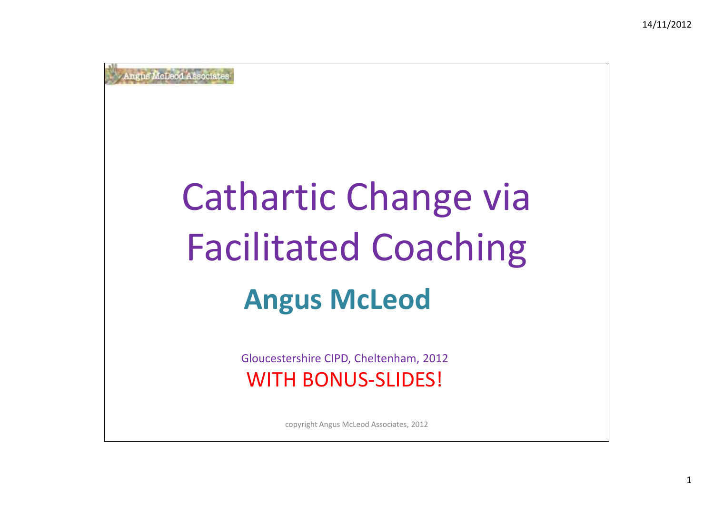# Cathartic Change viaFacilitated Coaching**Angus McLeod**

Gloucestershire CIPD, Cheltenham, 2012WITH BONUS-SLIDES!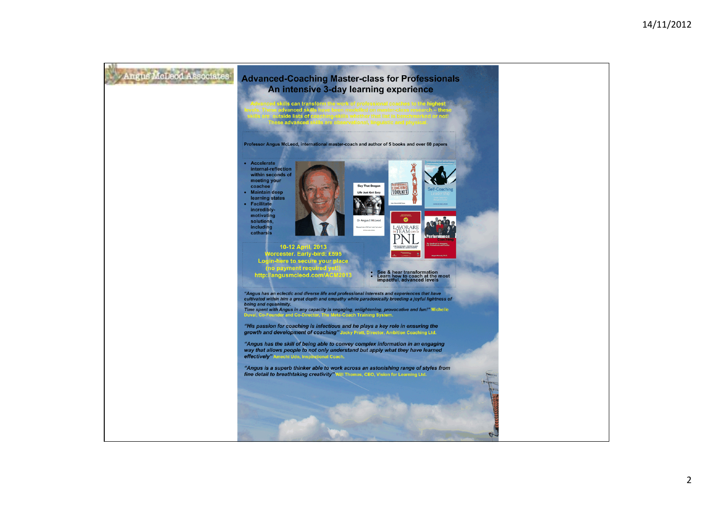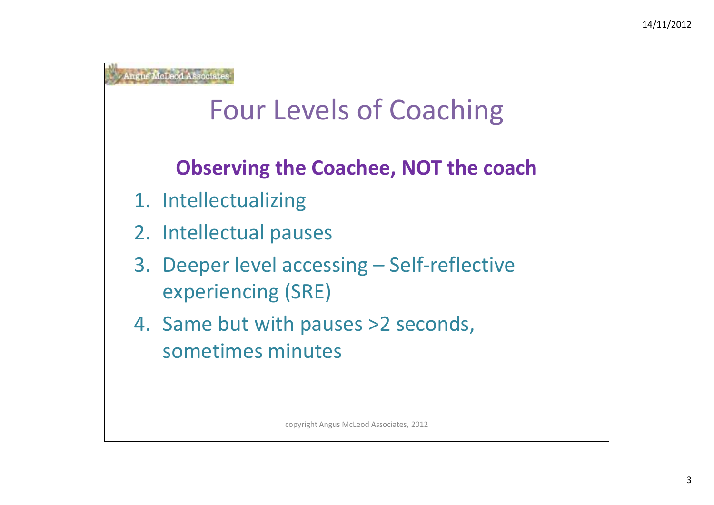## Four Levels of Coaching

### **Observing the Coachee, NOT the coach**

- 1. Intellectualizing
- 2. Intellectual pauses
- 3. Deeper level accessing –– Self-reflective experiencing (SRE)
- 4. Same but with pauses >2 seconds, sometimes minutes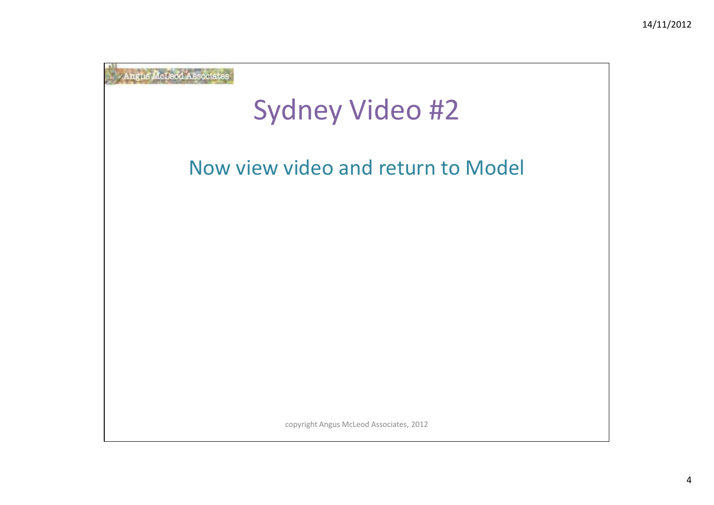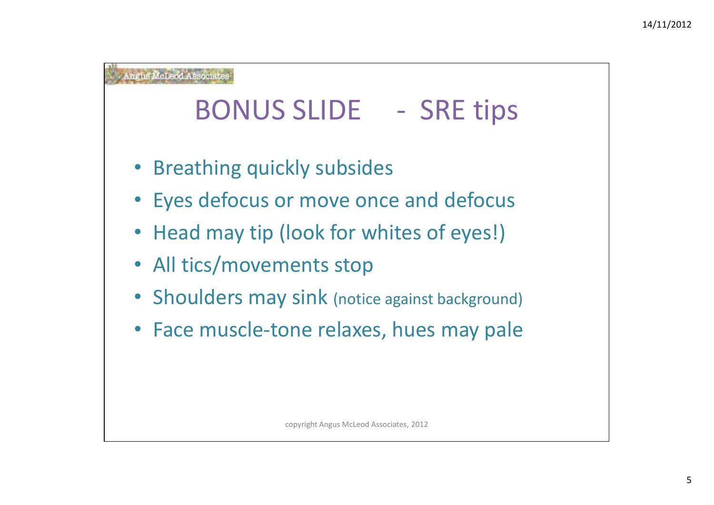### BONUS SLIDE - SRE tips

- Breathing quickly subsides
- Eyes defocus or move once and defocus
- Head may tip (look for whites of eyes!)
- All tics/movements stop
- Shoulders may sink (notice against background)
- Face muscle-tone relaxes, hues may pale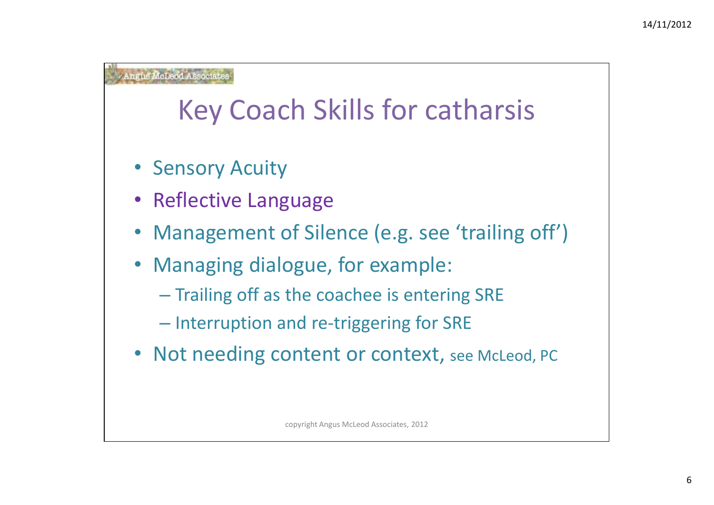### Key Coach Skills for catharsis

- Sensory Acuity
- Reflective Language
- Management of Silence (e.g. see 'trailing off')
- $\bullet$  Managing dialogue, for example:
	- $-$  Trailing off as the coachee is entering SRE
	- Interruption and re-triggering for SRE
- Not needing content or context, see McLeod, PC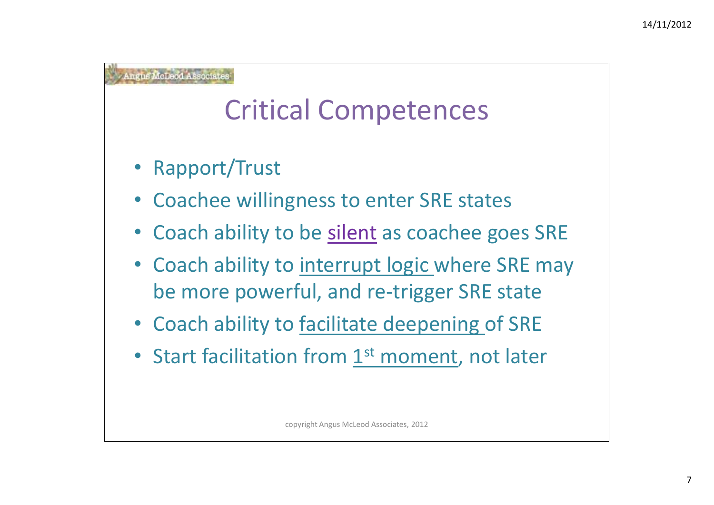## Critical Competences

- Rapport/Trust
- •Coachee willingness to enter SRE states
- •Coach ability to be silent as coachee goes SRE
- •Coach ability to interrupt logic where SRE may be more powerful, and re-trigger SRE state
- Coach ability to **facilitate deepening** of SRE
- Start facilitation from  $1<sup>st</sup>$  moment, not later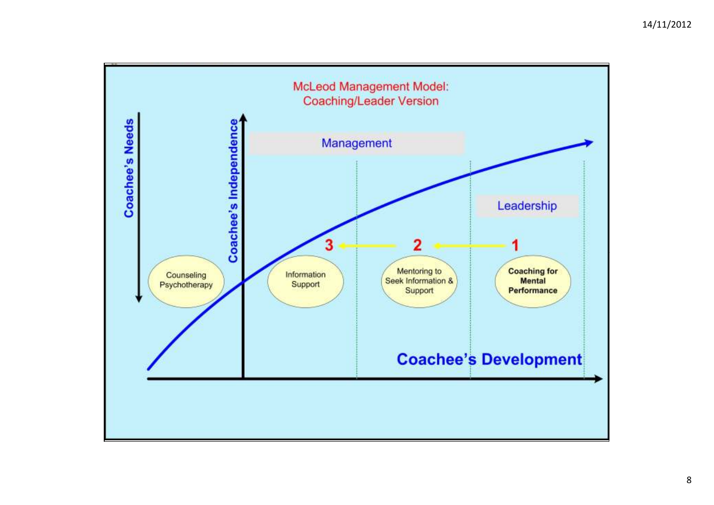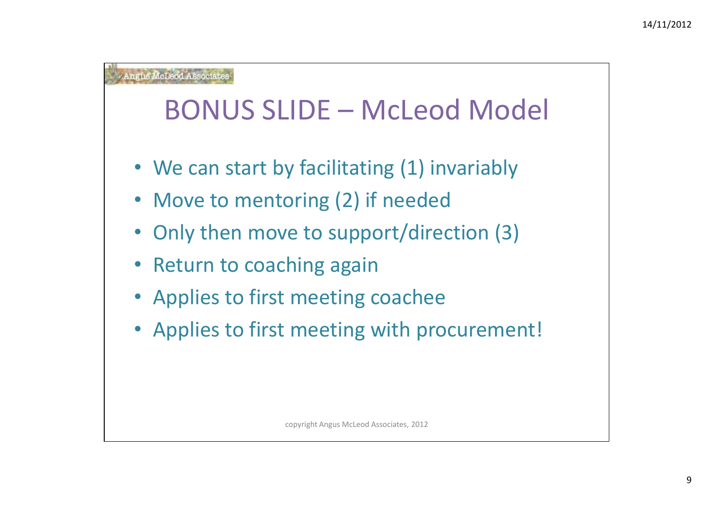### BONUS SLIDE – McLeod Model

- We can start by facilitating (1) invariably
- Move to mentoring (2) if needed
- Only then move to support/direction (3)
- Return to coaching again
- Applies to first meeting coachee
- Applies to first meeting with procurement!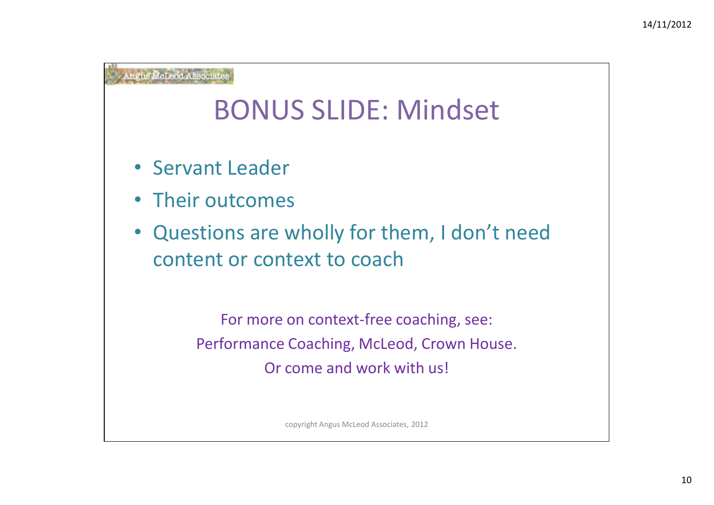### BONUS SLIDE: Mindset

- Servant Leader
- Their outcomes
- Questions are wholly for them, I don't need content or context to coach

For more on context-free coaching, see:Performance Coaching, McLeod, Crown House.Or come and work with us!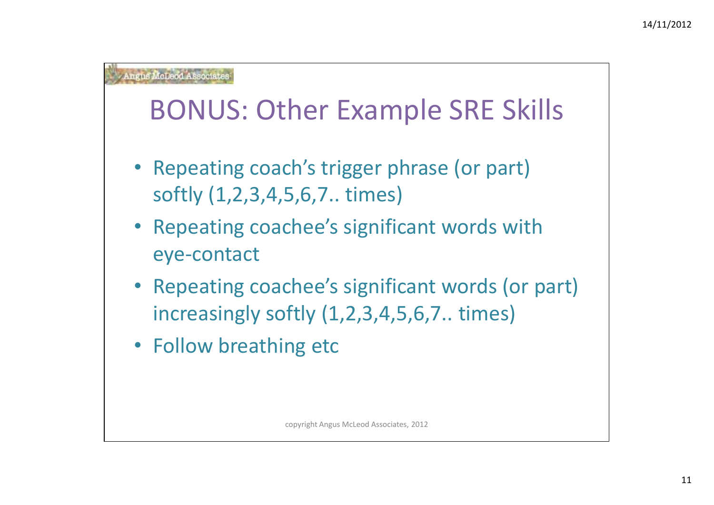### BONUS: Other Example SRE Skills

- Repeating coach's trigger phrase (or part) softly (1,2,3,4,5,6,7.. times)
- Repeating coachee's significant words with eye-contact
- Repeating coachee's significant words (or part) increasingly softly (1,2,3,4,5,6,7.. times)
- Follow breathing etc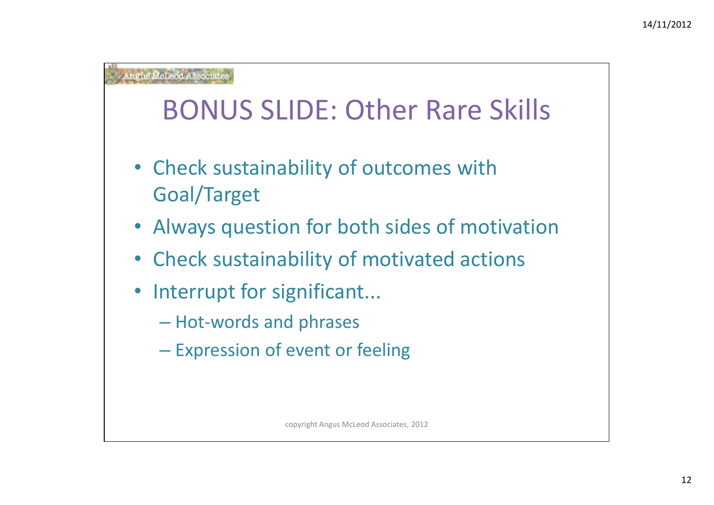## BONUS SLIDE: Other Rare Skills

- Check sustainability of outcomes with Goal/Target
- Always question for both sides of motivation
- Check sustainability of motivated actions
- Interrupt for significant...
	- $-$  Hot-words and phrases
	- Expression of event or feeling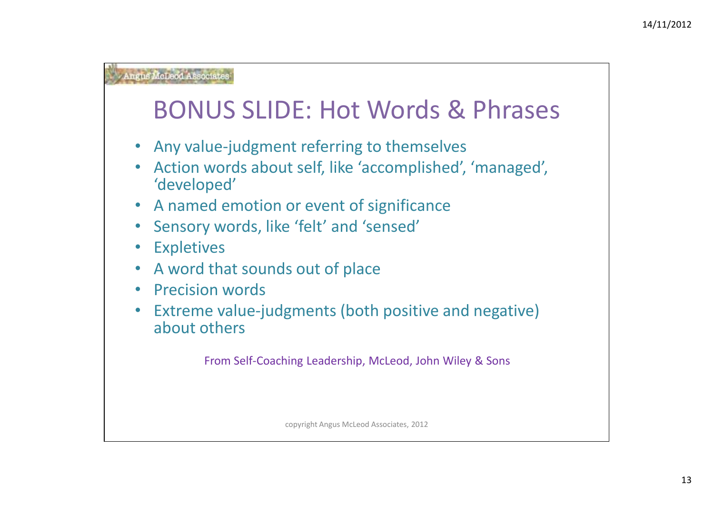### BONUS SLIDE: Hot Words & Phrases

- Any value-judgment referring to themselves
- Action words about self, like 'accomplished', 'managed', 'developed'
- A named emotion or event of significance
- Sensory words, like 'felt' and 'sensed'
- •**Expletives**
- A word that sounds out of place $\bullet$
- $\bullet$ Precision words
- Extreme value-judgments (both positive and negative) about others

From Self-Coaching Leadership, McLeod, John Wiley & Sons